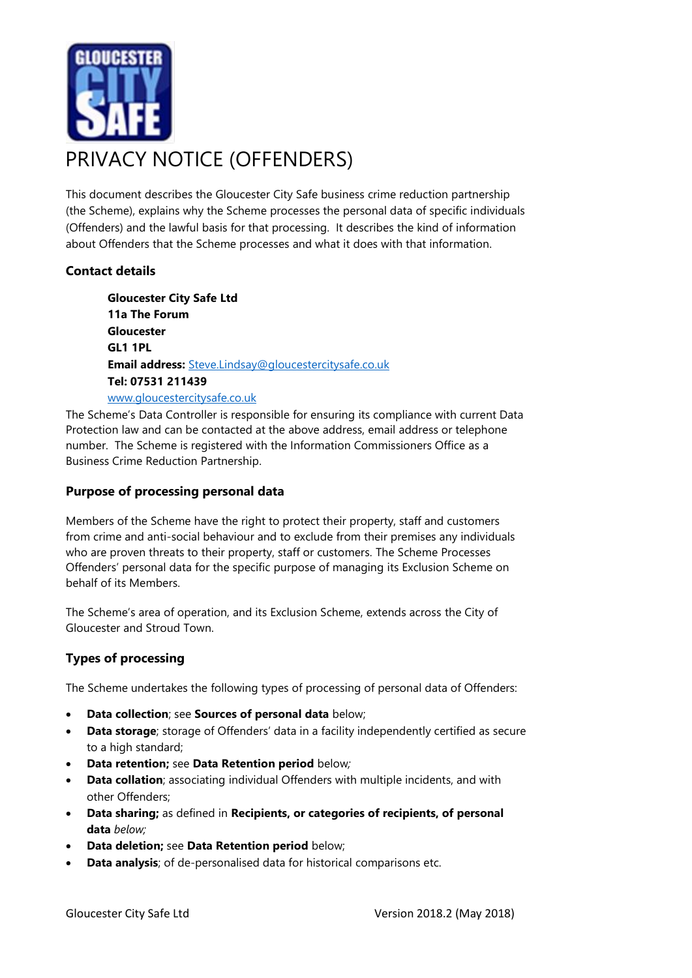

This document describes the Gloucester City Safe business crime reduction partnership (the Scheme), explains why the Scheme processes the personal data of specific individuals (Offenders) and the lawful basis for that processing. It describes the kind of information about Offenders that the Scheme processes and what it does with that information.

# **Contact details**

**Gloucester City Safe Ltd 11a The Forum Gloucester GL1 1PL Email address:** [Steve.Lindsay@gloucestercitysafe.co.uk](mailto:Steve.Lindsay@gloucestercitysafe.co.uk) **Tel: 07531 211439** [www.gloucestercitysafe.co.uk](http://www.gloucestercitysafe.co.uk/)

The Scheme's Data Controller is responsible for ensuring its compliance with current Data Protection law and can be contacted at the above address, email address or telephone number. The Scheme is registered with the Information Commissioners Office as a Business Crime Reduction Partnership.

### **Purpose of processing personal data**

Members of the Scheme have the right to protect their property, staff and customers from crime and anti-social behaviour and to exclude from their premises any individuals who are proven threats to their property, staff or customers. The Scheme Processes Offenders' personal data for the specific purpose of managing its Exclusion Scheme on behalf of its Members.

The Scheme's area of operation, and its Exclusion Scheme, extends across the City of Gloucester and Stroud Town.

# **Types of processing**

The Scheme undertakes the following types of processing of personal data of Offenders:

- **Data collection**; see **Sources of personal data** below;
- **Data storage**; storage of Offenders' data in a facility independently certified as secure to a high standard;
- **Data retention;** see **Data Retention period** below*;*
- **Data collation**; associating individual Offenders with multiple incidents, and with other Offenders;
- **Data sharing;** as defined in **Recipients, or categories of recipients, of personal data** *below;*
- **Data deletion;** see **Data Retention period** below;
- **Data analysis**; of de-personalised data for historical comparisons etc.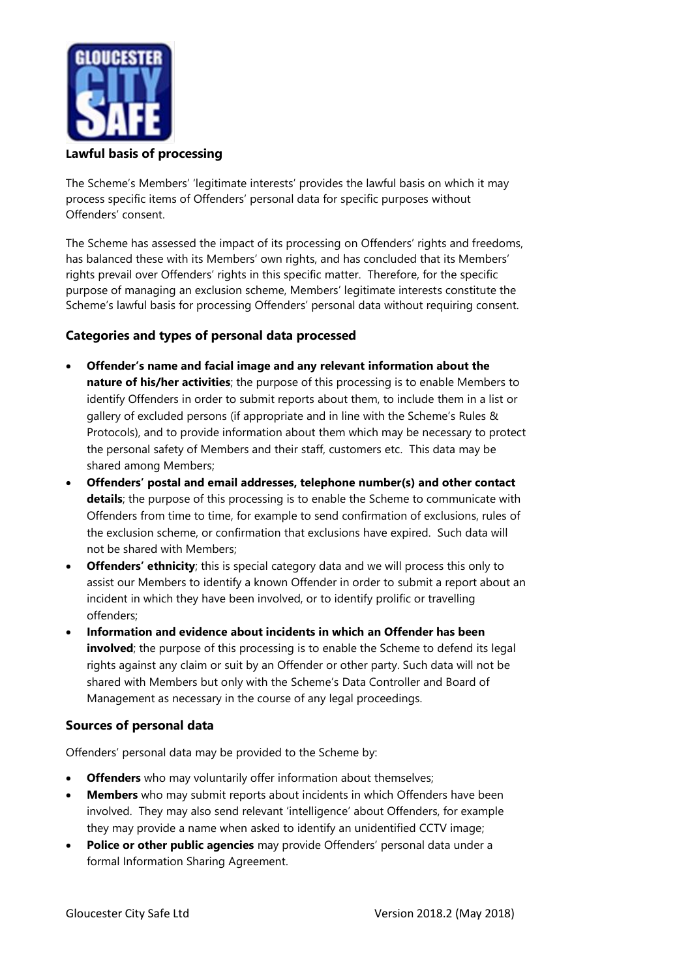

**Lawful basis of processing**

The Scheme's Members' 'legitimate interests' provides the lawful basis on which it may process specific items of Offenders' personal data for specific purposes without Offenders' consent.

The Scheme has assessed the impact of its processing on Offenders' rights and freedoms, has balanced these with its Members' own rights, and has concluded that its Members' rights prevail over Offenders' rights in this specific matter. Therefore, for the specific purpose of managing an exclusion scheme, Members' legitimate interests constitute the Scheme's lawful basis for processing Offenders' personal data without requiring consent.

## **Categories and types of personal data processed**

- **Offender's name and facial image and any relevant information about the nature of his/her activities**; the purpose of this processing is to enable Members to identify Offenders in order to submit reports about them, to include them in a list or gallery of excluded persons (if appropriate and in line with the Scheme's Rules & Protocols), and to provide information about them which may be necessary to protect the personal safety of Members and their staff, customers etc. This data may be shared among Members;
- **Offenders' postal and email addresses, telephone number(s) and other contact details**; the purpose of this processing is to enable the Scheme to communicate with Offenders from time to time, for example to send confirmation of exclusions, rules of the exclusion scheme, or confirmation that exclusions have expired. Such data will not be shared with Members;
- **Offenders' ethnicity**; this is special category data and we will process this only to assist our Members to identify a known Offender in order to submit a report about an incident in which they have been involved, or to identify prolific or travelling offenders;
- **Information and evidence about incidents in which an Offender has been involved**; the purpose of this processing is to enable the Scheme to defend its legal rights against any claim or suit by an Offender or other party. Such data will not be shared with Members but only with the Scheme's Data Controller and Board of Management as necessary in the course of any legal proceedings.

### **Sources of personal data**

Offenders' personal data may be provided to the Scheme by:

- **Offenders** who may voluntarily offer information about themselves;
- **Members** who may submit reports about incidents in which Offenders have been involved. They may also send relevant 'intelligence' about Offenders, for example they may provide a name when asked to identify an unidentified CCTV image;
- **Police or other public agencies** may provide Offenders' personal data under a formal Information Sharing Agreement.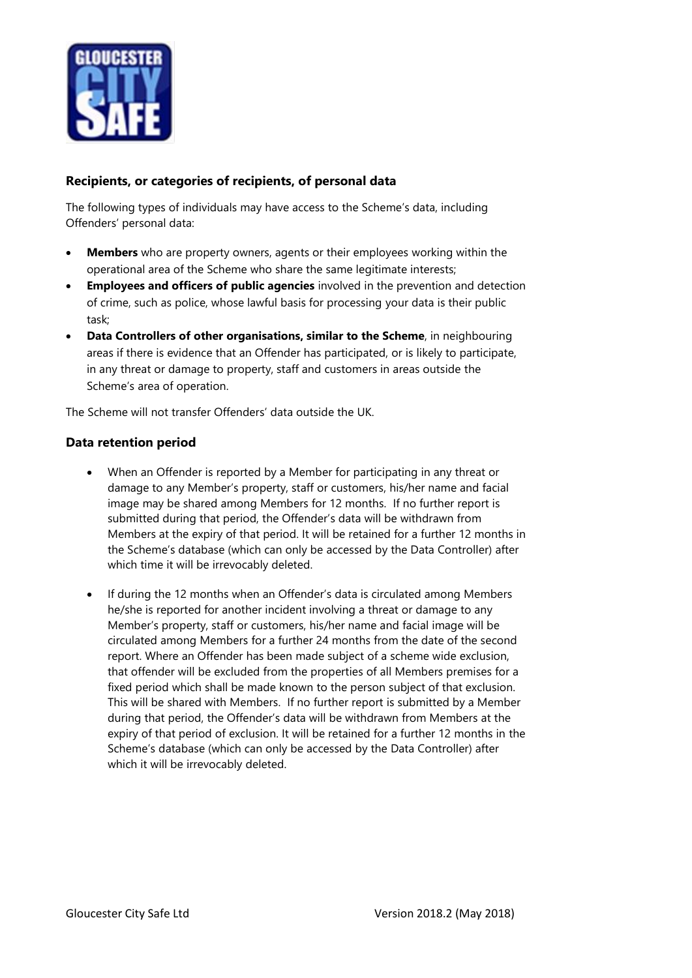

## **Recipients, or categories of recipients, of personal data**

The following types of individuals may have access to the Scheme's data, including Offenders' personal data:

- **Members** who are property owners, agents or their employees working within the operational area of the Scheme who share the same legitimate interests;
- **Employees and officers of public agencies** involved in the prevention and detection of crime, such as police, whose lawful basis for processing your data is their public task;
- **Data Controllers of other organisations, similar to the Scheme**, in neighbouring areas if there is evidence that an Offender has participated, or is likely to participate, in any threat or damage to property, staff and customers in areas outside the Scheme's area of operation.

The Scheme will not transfer Offenders' data outside the UK.

#### **Data retention period**

- When an Offender is reported by a Member for participating in any threat or damage to any Member's property, staff or customers, his/her name and facial image may be shared among Members for 12 months. If no further report is submitted during that period, the Offender's data will be withdrawn from Members at the expiry of that period. It will be retained for a further 12 months in the Scheme's database (which can only be accessed by the Data Controller) after which time it will be irrevocably deleted.
- If during the 12 months when an Offender's data is circulated among Members he/she is reported for another incident involving a threat or damage to any Member's property, staff or customers, his/her name and facial image will be circulated among Members for a further 24 months from the date of the second report. Where an Offender has been made subject of a scheme wide exclusion, that offender will be excluded from the properties of all Members premises for a fixed period which shall be made known to the person subject of that exclusion. This will be shared with Members. If no further report is submitted by a Member during that period, the Offender's data will be withdrawn from Members at the expiry of that period of exclusion. It will be retained for a further 12 months in the Scheme's database (which can only be accessed by the Data Controller) after which it will be irrevocably deleted.